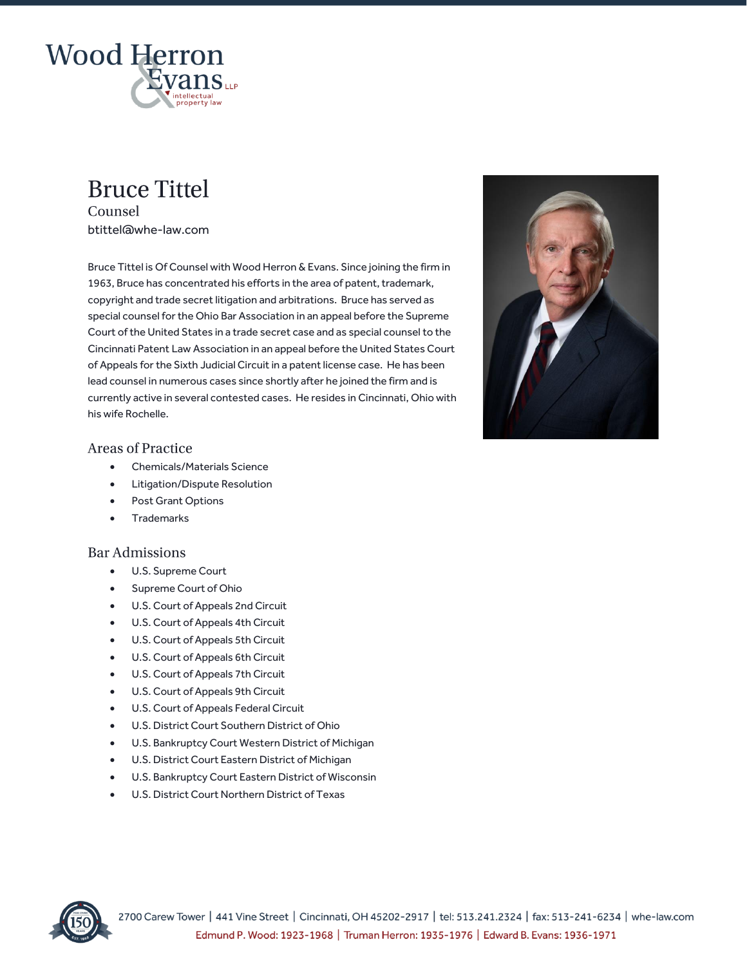

# **Bruce Tittel** Counsel

btittel@whe-law.com

Bruce Tittel is Of Counsel with Wood Herron & Evans. Since joining the firm in 1963, Bruce has concentrated his efforts in the area of patent, trademark, copyright and trade secret litigation and arbitrations. Bruce has served as special counsel for the Ohio Bar Association in an appeal before the Supreme Court of the United States in a trade secret case and as special counsel to the Cincinnati Patent Law Association in an appeal before the United States Court of Appeals for the Sixth Judicial Circuit in a patent license case. He has been lead counsel in numerous cases since shortly after he joined the firm and is currently active in several contested cases. He resides in Cincinnati, Ohio with his wife Rochelle.



## **Areas of Practice**

- Chemicals/Materials Science
- Litigation/Dispute Resolution
- Post Grant Options
- Trademarks

## **Bar Admissions**

- U.S. Supreme Court
- Supreme Court of Ohio
- U.S. Court of Appeals 2nd Circuit
- U.S. Court of Appeals 4th Circuit
- U.S. Court of Appeals 5th Circuit
- U.S. Court of Appeals 6th Circuit
- U.S. Court of Appeals 7th Circuit
- U.S. Court of Appeals 9th Circuit
- U.S. Court of Appeals Federal Circuit
- U.S. District Court Southern District of Ohio
- U.S. Bankruptcy Court Western District of Michigan
- U.S. District Court Eastern District of Michigan
- U.S. Bankruptcy Court Eastern District of Wisconsin
- U.S. District Court Northern District of Texas